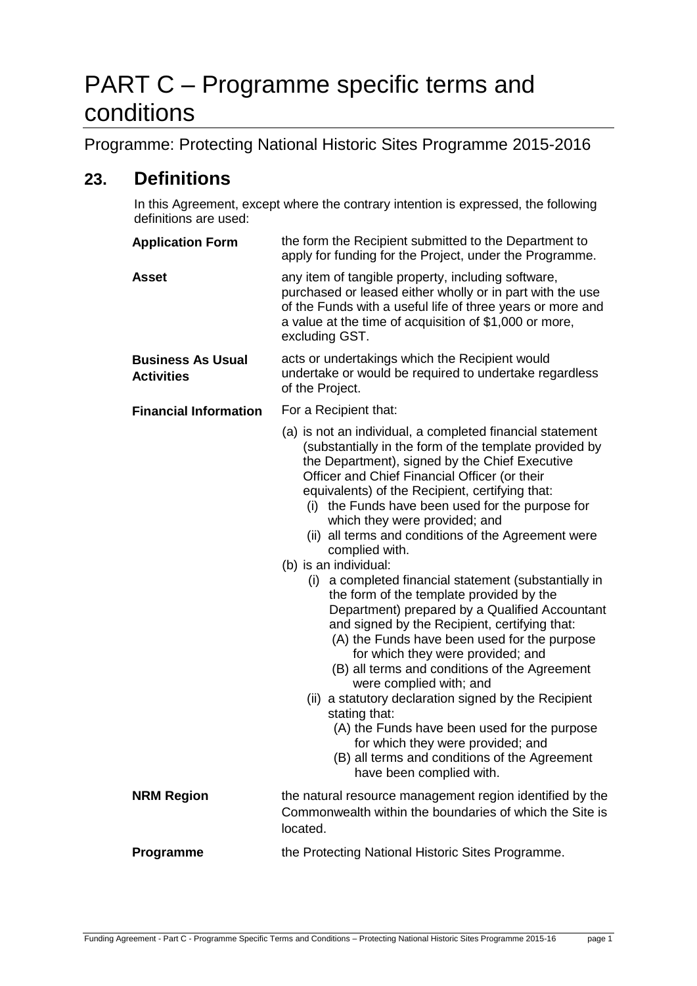# PART C – Programme specific terms and conditions

Programme: Protecting National Historic Sites Programme 2015-2016

# **23. Definitions**

In this Agreement, except where the contrary intention is expressed, the following definitions are used:

| <b>Application Form</b>                       | the form the Recipient submitted to the Department to<br>apply for funding for the Project, under the Programme.                                                                                                                                                                                                                                                                                                                                                                                                                                                                                                                                                                                                                                                                                                                                                                                                                                                                                                                                                                     |
|-----------------------------------------------|--------------------------------------------------------------------------------------------------------------------------------------------------------------------------------------------------------------------------------------------------------------------------------------------------------------------------------------------------------------------------------------------------------------------------------------------------------------------------------------------------------------------------------------------------------------------------------------------------------------------------------------------------------------------------------------------------------------------------------------------------------------------------------------------------------------------------------------------------------------------------------------------------------------------------------------------------------------------------------------------------------------------------------------------------------------------------------------|
| <b>Asset</b>                                  | any item of tangible property, including software,<br>purchased or leased either wholly or in part with the use<br>of the Funds with a useful life of three years or more and<br>a value at the time of acquisition of \$1,000 or more,<br>excluding GST.                                                                                                                                                                                                                                                                                                                                                                                                                                                                                                                                                                                                                                                                                                                                                                                                                            |
| <b>Business As Usual</b><br><b>Activities</b> | acts or undertakings which the Recipient would<br>undertake or would be required to undertake regardless<br>of the Project.                                                                                                                                                                                                                                                                                                                                                                                                                                                                                                                                                                                                                                                                                                                                                                                                                                                                                                                                                          |
| <b>Financial Information</b>                  | For a Recipient that:                                                                                                                                                                                                                                                                                                                                                                                                                                                                                                                                                                                                                                                                                                                                                                                                                                                                                                                                                                                                                                                                |
|                                               | (a) is not an individual, a completed financial statement<br>(substantially in the form of the template provided by<br>the Department), signed by the Chief Executive<br>Officer and Chief Financial Officer (or their<br>equivalents) of the Recipient, certifying that:<br>(i) the Funds have been used for the purpose for<br>which they were provided; and<br>(ii) all terms and conditions of the Agreement were<br>complied with.<br>(b) is an individual:<br>(i) a completed financial statement (substantially in<br>the form of the template provided by the<br>Department) prepared by a Qualified Accountant<br>and signed by the Recipient, certifying that:<br>(A) the Funds have been used for the purpose<br>for which they were provided; and<br>(B) all terms and conditions of the Agreement<br>were complied with; and<br>(ii) a statutory declaration signed by the Recipient<br>stating that:<br>(A) the Funds have been used for the purpose<br>for which they were provided; and<br>(B) all terms and conditions of the Agreement<br>have been complied with. |
| <b>NRM Region</b>                             | the natural resource management region identified by the<br>Commonwealth within the boundaries of which the Site is<br>located.                                                                                                                                                                                                                                                                                                                                                                                                                                                                                                                                                                                                                                                                                                                                                                                                                                                                                                                                                      |
| Programme                                     | the Protecting National Historic Sites Programme.                                                                                                                                                                                                                                                                                                                                                                                                                                                                                                                                                                                                                                                                                                                                                                                                                                                                                                                                                                                                                                    |
|                                               |                                                                                                                                                                                                                                                                                                                                                                                                                                                                                                                                                                                                                                                                                                                                                                                                                                                                                                                                                                                                                                                                                      |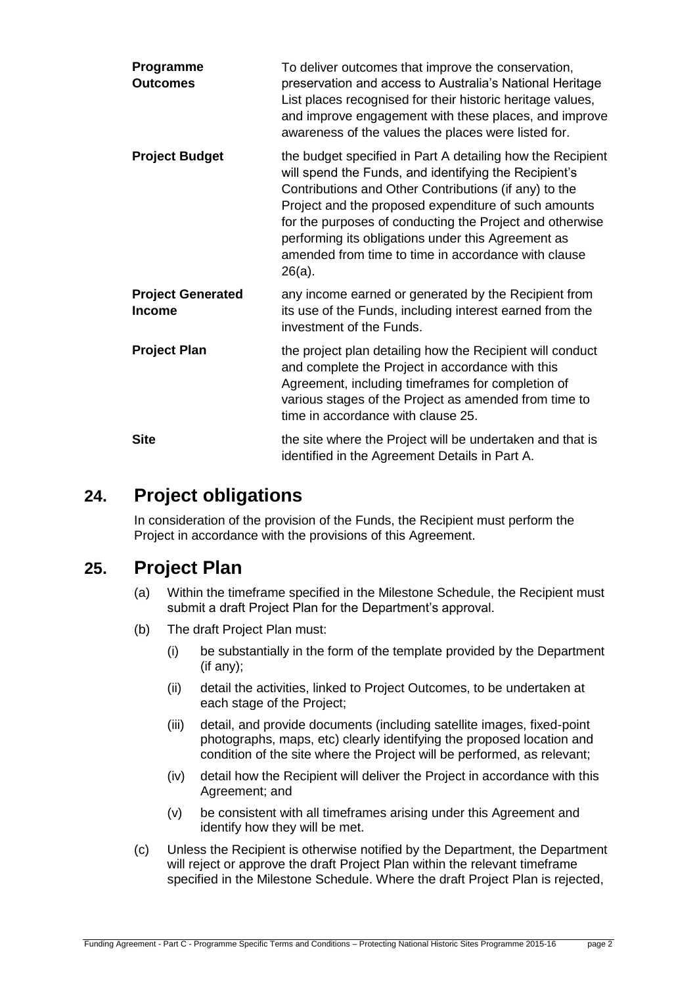| Programme<br><b>Outcomes</b>              | To deliver outcomes that improve the conservation,<br>preservation and access to Australia's National Heritage<br>List places recognised for their historic heritage values,<br>and improve engagement with these places, and improve<br>awareness of the values the places were listed for.                                                                                                                               |
|-------------------------------------------|----------------------------------------------------------------------------------------------------------------------------------------------------------------------------------------------------------------------------------------------------------------------------------------------------------------------------------------------------------------------------------------------------------------------------|
| <b>Project Budget</b>                     | the budget specified in Part A detailing how the Recipient<br>will spend the Funds, and identifying the Recipient's<br>Contributions and Other Contributions (if any) to the<br>Project and the proposed expenditure of such amounts<br>for the purposes of conducting the Project and otherwise<br>performing its obligations under this Agreement as<br>amended from time to time in accordance with clause<br>$26(a)$ . |
| <b>Project Generated</b><br><b>Income</b> | any income earned or generated by the Recipient from<br>its use of the Funds, including interest earned from the<br>investment of the Funds.                                                                                                                                                                                                                                                                               |
| <b>Project Plan</b>                       | the project plan detailing how the Recipient will conduct<br>and complete the Project in accordance with this<br>Agreement, including timeframes for completion of<br>various stages of the Project as amended from time to<br>time in accordance with clause 25.                                                                                                                                                          |
| <b>Site</b>                               | the site where the Project will be undertaken and that is<br>identified in the Agreement Details in Part A.                                                                                                                                                                                                                                                                                                                |

# **24. Project obligations**

In consideration of the provision of the Funds, the Recipient must perform the Project in accordance with the provisions of this Agreement.

# **25. Project Plan**

- (a) Within the timeframe specified in the Milestone Schedule, the Recipient must submit a draft Project Plan for the Department's approval.
- (b) The draft Project Plan must:
	- (i) be substantially in the form of the template provided by the Department (if any);
	- (ii) detail the activities, linked to Project Outcomes, to be undertaken at each stage of the Project;
	- (iii) detail, and provide documents (including satellite images, fixed-point photographs, maps, etc) clearly identifying the proposed location and condition of the site where the Project will be performed, as relevant;
	- (iv) detail how the Recipient will deliver the Project in accordance with this Agreement; and
	- (v) be consistent with all timeframes arising under this Agreement and identify how they will be met.
- (c) Unless the Recipient is otherwise notified by the Department, the Department will reject or approve the draft Project Plan within the relevant timeframe specified in the Milestone Schedule. Where the draft Project Plan is rejected,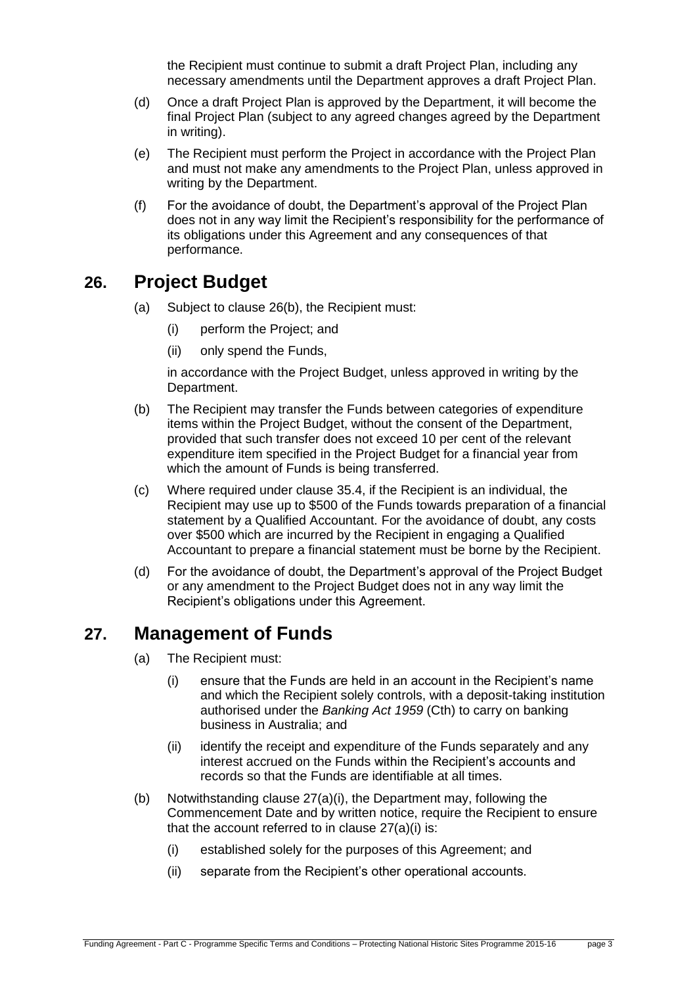the Recipient must continue to submit a draft Project Plan, including any necessary amendments until the Department approves a draft Project Plan.

- (d) Once a draft Project Plan is approved by the Department, it will become the final Project Plan (subject to any agreed changes agreed by the Department in writing).
- (e) The Recipient must perform the Project in accordance with the Project Plan and must not make any amendments to the Project Plan, unless approved in writing by the Department.
- (f) For the avoidance of doubt, the Department's approval of the Project Plan does not in any way limit the Recipient's responsibility for the performance of its obligations under this Agreement and any consequences of that performance.

### <span id="page-2-1"></span><span id="page-2-0"></span>**26. Project Budget**

- (a) Subject to clause [26\(b\),](#page-2-1) the Recipient must:
	- (i) perform the Project; and
	- (ii) only spend the Funds,

in accordance with the Project Budget, unless approved in writing by the Department.

- (b) The Recipient may transfer the Funds between categories of expenditure items within the Project Budget, without the consent of the Department, provided that such transfer does not exceed 10 per cent of the relevant expenditure item specified in the Project Budget for a financial year from which the amount of Funds is being transferred.
- (c) Where required under clause [35.4,](#page-7-0) if the Recipient is an individual, the Recipient may use up to \$500 of the Funds towards preparation of a financial statement by a Qualified Accountant. For the avoidance of doubt, any costs over \$500 which are incurred by the Recipient in engaging a Qualified Accountant to prepare a financial statement must be borne by the Recipient.
- (d) For the avoidance of doubt, the Department's approval of the Project Budget or any amendment to the Project Budget does not in any way limit the Recipient's obligations under this Agreement.

# **27. Management of Funds**

- (a) The Recipient must:
	- (i) ensure that the Funds are held in an account in the Recipient's name and which the Recipient solely controls, with a deposit-taking institution authorised under the *Banking Act 1959* (Cth) to carry on banking business in Australia; and
	- (ii) identify the receipt and expenditure of the Funds separately and any interest accrued on the Funds within the Recipient's accounts and records so that the Funds are identifiable at all times.
- (b) Notwithstanding clause 27(a)(i), the Department may, following the Commencement Date and by written notice, require the Recipient to ensure that the account referred to in clause 27(a)(i) is:
	- (i) established solely for the purposes of this Agreement; and
	- (ii) separate from the Recipient's other operational accounts.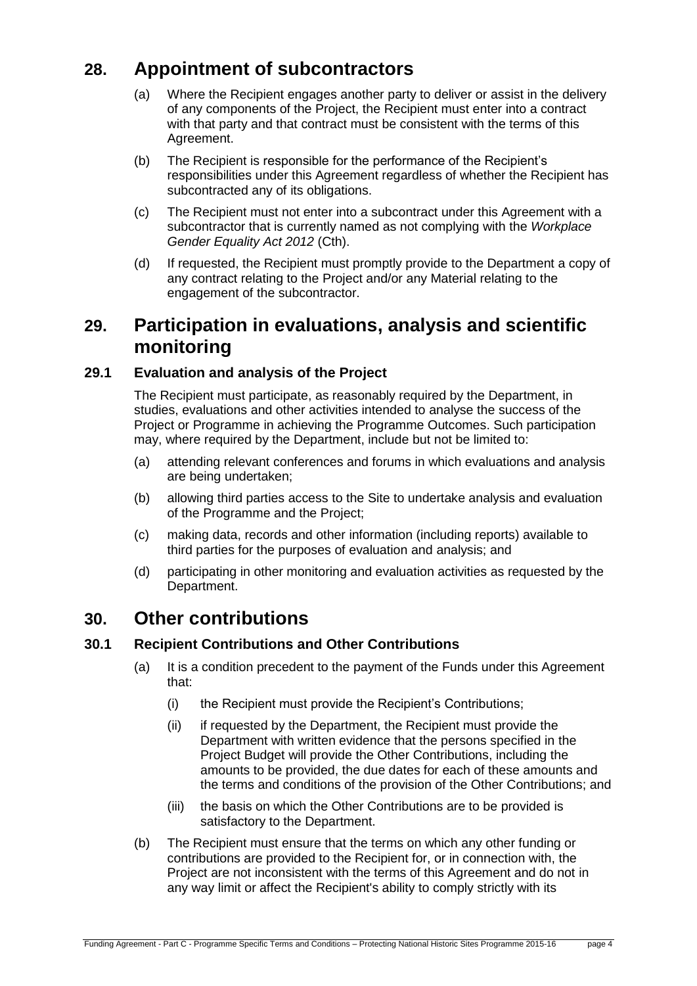# **28. Appointment of subcontractors**

- (a) Where the Recipient engages another party to deliver or assist in the delivery of any components of the Project, the Recipient must enter into a contract with that party and that contract must be consistent with the terms of this Agreement.
- (b) The Recipient is responsible for the performance of the Recipient's responsibilities under this Agreement regardless of whether the Recipient has subcontracted any of its obligations.
- (c) The Recipient must not enter into a subcontract under this Agreement with a subcontractor that is currently named as not complying with the *Workplace Gender Equality Act 2012* (Cth).
- (d) If requested, the Recipient must promptly provide to the Department a copy of any contract relating to the Project and/or any Material relating to the engagement of the subcontractor.

# **29. Participation in evaluations, analysis and scientific monitoring**

### **29.1 Evaluation and analysis of the Project**

The Recipient must participate, as reasonably required by the Department, in studies, evaluations and other activities intended to analyse the success of the Project or Programme in achieving the Programme Outcomes. Such participation may, where required by the Department, include but not be limited to:

- (a) attending relevant conferences and forums in which evaluations and analysis are being undertaken;
- (b) allowing third parties access to the Site to undertake analysis and evaluation of the Programme and the Project;
- (c) making data, records and other information (including reports) available to third parties for the purposes of evaluation and analysis; and
- (d) participating in other monitoring and evaluation activities as requested by the Department.

### **30. Other contributions**

#### **30.1 Recipient Contributions and Other Contributions**

- (a) It is a condition precedent to the payment of the Funds under this Agreement that:
	- (i) the Recipient must provide the Recipient's Contributions;
	- (ii) if requested by the Department, the Recipient must provide the Department with written evidence that the persons specified in the Project Budget will provide the Other Contributions, including the amounts to be provided, the due dates for each of these amounts and the terms and conditions of the provision of the Other Contributions; and
	- (iii) the basis on which the Other Contributions are to be provided is satisfactory to the Department.
- (b) The Recipient must ensure that the terms on which any other funding or contributions are provided to the Recipient for, or in connection with, the Project are not inconsistent with the terms of this Agreement and do not in any way limit or affect the Recipient's ability to comply strictly with its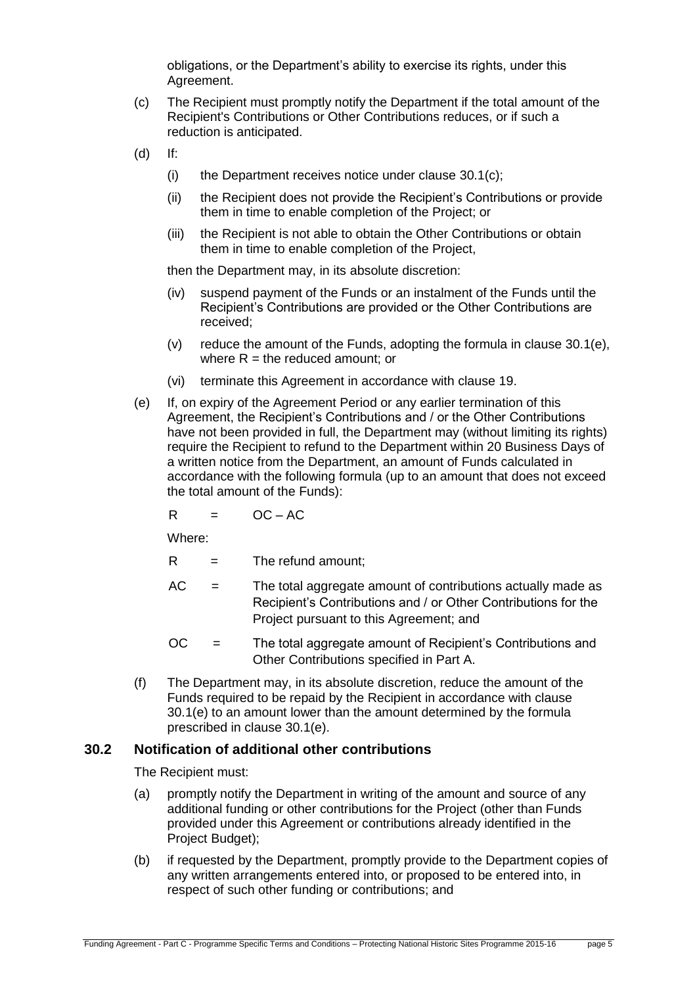obligations, or the Department's ability to exercise its rights, under this Agreement.

- <span id="page-4-0"></span>(c) The Recipient must promptly notify the Department if the total amount of the Recipient's Contributions or Other Contributions reduces, or if such a reduction is anticipated.
- (d) If:
	- (i) the Department receives notice under clause  $30.1(c)$ ;
	- (ii) the Recipient does not provide the Recipient's Contributions or provide them in time to enable completion of the Project; or
	- (iii) the Recipient is not able to obtain the Other Contributions or obtain them in time to enable completion of the Project,

then the Department may, in its absolute discretion:

- (iv) suspend payment of the Funds or an instalment of the Funds until the Recipient's Contributions are provided or the Other Contributions are received;
- (v) reduce the amount of the Funds, adopting the formula in clause  $30.1(e)$ , where  $R =$  the reduced amount; or
- (vi) terminate this Agreement in accordance with clause 19.
- <span id="page-4-1"></span>(e) If, on expiry of the Agreement Period or any earlier termination of this Agreement, the Recipient's Contributions and / or the Other Contributions have not been provided in full, the Department may (without limiting its rights) require the Recipient to refund to the Department within 20 Business Days of a written notice from the Department, an amount of Funds calculated in accordance with the following formula (up to an amount that does not exceed the total amount of the Funds):

$$
R = OC - AC
$$

Where:

- $R =$ The refund amount;
- $AC =$  The total aggregate amount of contributions actually made as Recipient's Contributions and / or Other Contributions for the Project pursuant to this Agreement; and
- OC = The total aggregate amount of Recipient's Contributions and Other Contributions specified in Part A.
- (f) The Department may, in its absolute discretion, reduce the amount of the Funds required to be repaid by the Recipient in accordance with clause [30.1\(e\)](#page-4-1) to an amount lower than the amount determined by the formula prescribed in clause [30.1\(e\).](#page-4-1)

#### <span id="page-4-2"></span>**30.2 Notification of additional other contributions**

The Recipient must:

- (a) promptly notify the Department in writing of the amount and source of any additional funding or other contributions for the Project (other than Funds provided under this Agreement or contributions already identified in the Project Budget);
- (b) if requested by the Department, promptly provide to the Department copies of any written arrangements entered into, or proposed to be entered into, in respect of such other funding or contributions; and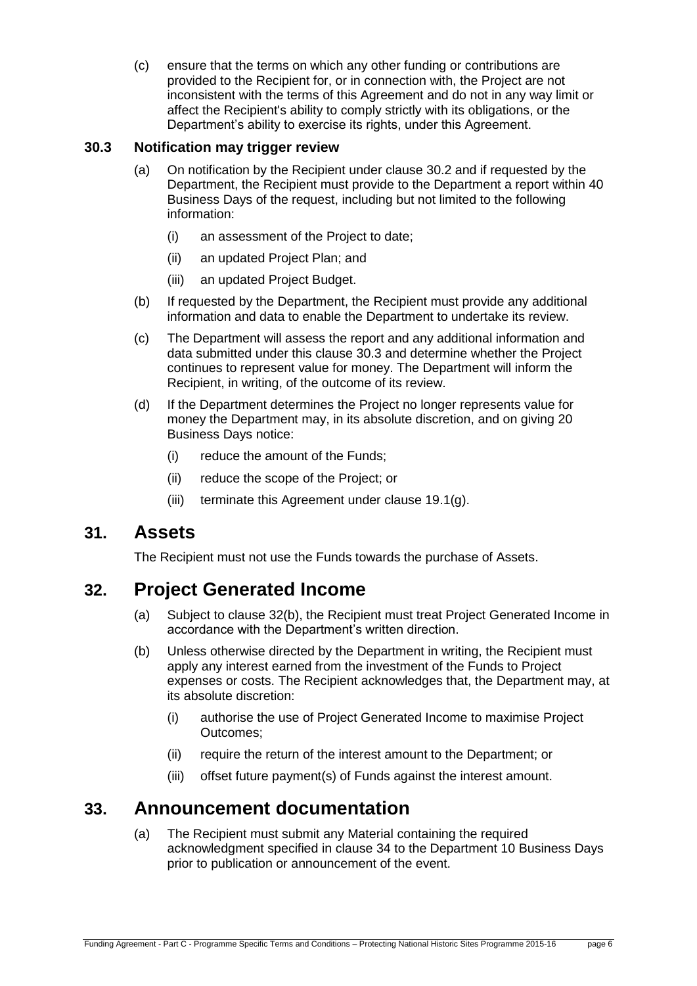(c) ensure that the terms on which any other funding or contributions are provided to the Recipient for, or in connection with, the Project are not inconsistent with the terms of this Agreement and do not in any way limit or affect the Recipient's ability to comply strictly with its obligations, or the Department's ability to exercise its rights, under this Agreement.

#### <span id="page-5-0"></span>**30.3 Notification may trigger review**

- (a) On notification by the Recipient under clause [30.2](#page-4-2) and if requested by the Department, the Recipient must provide to the Department a report within 40 Business Days of the request, including but not limited to the following information:
	- (i) an assessment of the Project to date;
	- (ii) an updated Project Plan; and
	- (iii) an updated Project Budget.
- (b) If requested by the Department, the Recipient must provide any additional information and data to enable the Department to undertake its review.
- (c) The Department will assess the report and any additional information and data submitted under this clause [30.3](#page-5-0) and determine whether the Project continues to represent value for money. The Department will inform the Recipient, in writing, of the outcome of its review.
- (d) If the Department determines the Project no longer represents value for money the Department may, in its absolute discretion, and on giving 20 Business Days notice:
	- (i) reduce the amount of the Funds;
	- (ii) reduce the scope of the Project; or
	- (iii) terminate this Agreement under clause 19.1(g).

### **31. Assets**

The Recipient must not use the Funds towards the purchase of Assets.

# **32. Project Generated Income**

- (a) Subject to clause [32\(b\),](#page-5-1) the Recipient must treat Project Generated Income in accordance with the Department's written direction.
- <span id="page-5-1"></span>(b) Unless otherwise directed by the Department in writing, the Recipient must apply any interest earned from the investment of the Funds to Project expenses or costs. The Recipient acknowledges that, the Department may, at its absolute discretion:
	- (i) authorise the use of Project Generated Income to maximise Project Outcomes;
	- (ii) require the return of the interest amount to the Department; or
	- (iii) offset future payment(s) of Funds against the interest amount.

# <span id="page-5-2"></span>**33. Announcement documentation**

(a) The Recipient must submit any Material containing the required acknowledgment specified in clause [34](#page-6-0) to the Department 10 Business Days prior to publication or announcement of the event.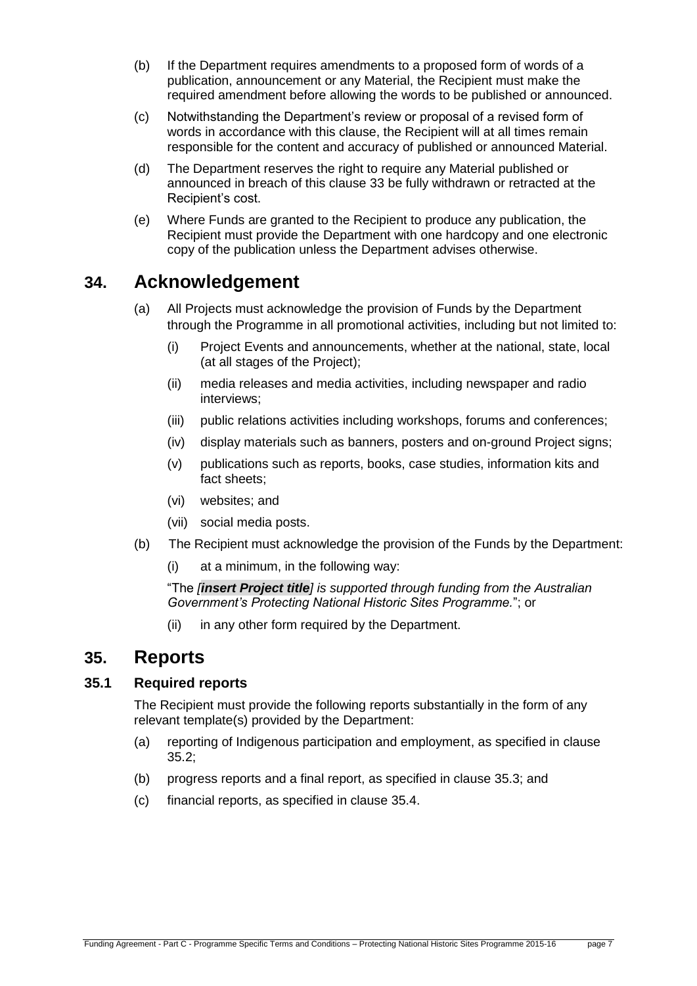- (b) If the Department requires amendments to a proposed form of words of a publication, announcement or any Material, the Recipient must make the required amendment before allowing the words to be published or announced.
- (c) Notwithstanding the Department's review or proposal of a revised form of words in accordance with this clause, the Recipient will at all times remain responsible for the content and accuracy of published or announced Material.
- (d) The Department reserves the right to require any Material published or announced in breach of this clause [33](#page-5-2) be fully withdrawn or retracted at the Recipient's cost.
- (e) Where Funds are granted to the Recipient to produce any publication, the Recipient must provide the Department with one hardcopy and one electronic copy of the publication unless the Department advises otherwise.

# <span id="page-6-0"></span>**34. Acknowledgement**

- (a) All Projects must acknowledge the provision of Funds by the Department through the Programme in all promotional activities, including but not limited to:
	- (i) Project Events and announcements, whether at the national, state, local (at all stages of the Project);
	- (ii) media releases and media activities, including newspaper and radio interviews;
	- (iii) public relations activities including workshops, forums and conferences;
	- (iv) display materials such as banners, posters and on-ground Project signs;
	- (v) publications such as reports, books, case studies, information kits and fact sheets;
	- (vi) websites; and
	- (vii) social media posts.
- (b) The Recipient must acknowledge the provision of the Funds by the Department:
	- (i) at a minimum, in the following way:

"The *[insert Project title] is supported through funding from the Australian Government's Protecting National Historic Sites Programme.*"; or

(ii) in any other form required by the Department.

### **35. Reports**

### **35.1 Required reports**

The Recipient must provide the following reports substantially in the form of any relevant template(s) provided by the Department:

- (a) reporting of Indigenous participation and employment, as specified in clause [35.2;](#page-7-1)
- (b) progress reports and a final report, as specified in clause [35.3;](#page-7-2) and
- (c) financial reports, as specified in clause [35.4.](#page-7-0)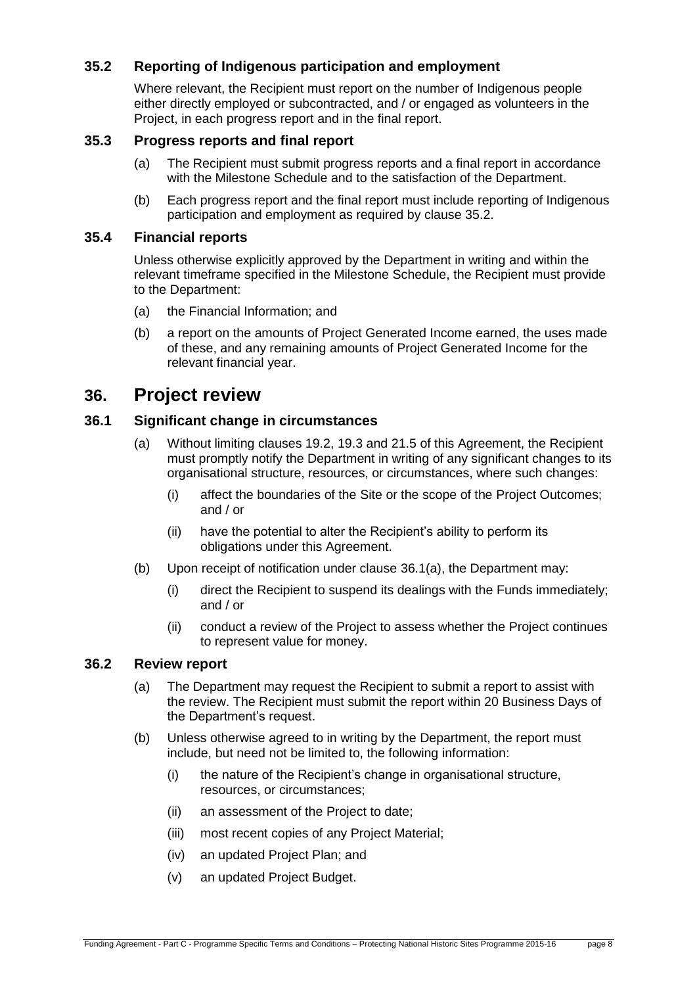### <span id="page-7-1"></span>**35.2 Reporting of Indigenous participation and employment**

Where relevant, the Recipient must report on the number of Indigenous people either directly employed or subcontracted, and / or engaged as volunteers in the Project, in each progress report and in the final report.

#### <span id="page-7-2"></span>**35.3 Progress reports and final report**

- (a) The Recipient must submit progress reports and a final report in accordance with the Milestone Schedule and to the satisfaction of the Department.
- (b) Each progress report and the final report must include reporting of Indigenous participation and employment as required by clause [35.2.](#page-7-1)

### <span id="page-7-0"></span>**35.4 Financial reports**

Unless otherwise explicitly approved by the Department in writing and within the relevant timeframe specified in the Milestone Schedule, the Recipient must provide to the Department:

- (a) the Financial Information; and
- (b) a report on the amounts of Project Generated Income earned, the uses made of these, and any remaining amounts of Project Generated Income for the relevant financial year.

### <span id="page-7-4"></span>**36. Project review**

#### <span id="page-7-3"></span>**36.1 Significant change in circumstances**

- (a) Without limiting clauses 19.2, 19.3 and 21.5 of this Agreement, the Recipient must promptly notify the Department in writing of any significant changes to its organisational structure, resources, or circumstances, where such changes:
	- (i) affect the boundaries of the Site or the scope of the Project Outcomes; and / or
	- (ii) have the potential to alter the Recipient's ability to perform its obligations under this Agreement.
- (b) Upon receipt of notification under clause [36.1\(a\),](#page-7-3) the Department may:
	- (i) direct the Recipient to suspend its dealings with the Funds immediately; and / or
	- (ii) conduct a review of the Project to assess whether the Project continues to represent value for money.

#### **36.2 Review report**

- (a) The Department may request the Recipient to submit a report to assist with the review. The Recipient must submit the report within 20 Business Days of the Department's request.
- (b) Unless otherwise agreed to in writing by the Department, the report must include, but need not be limited to, the following information:
	- (i) the nature of the Recipient's change in organisational structure, resources, or circumstances;
	- (ii) an assessment of the Project to date;
	- (iii) most recent copies of any Project Material;
	- (iv) an updated Project Plan; and
	- (v) an updated Project Budget.